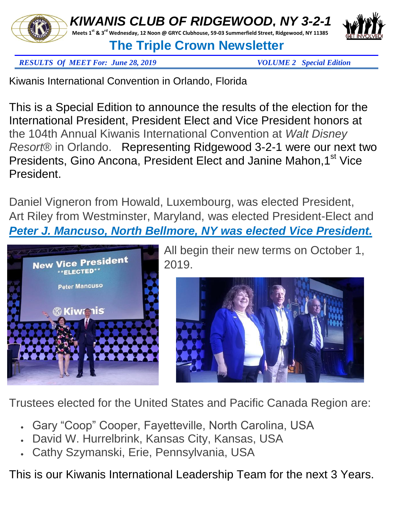



## *RESULTS Of MEET For: June 28, 2019 VOLUME 2 Special Edition*

Kiwanis International Convention in Orlando, Florida

This is a Special Edition to announce the results of the election for the International President, President Elect and Vice President honors at the 104th Annual Kiwanis International Convention at *Walt Disney Resort*® in Orlando. Representing Ridgewood 3-2-1 were our next two Presidents, Gino Ancona, President Elect and Janine Mahon, 1<sup>st</sup> Vice President.

Daniel Vigneron from Howald, Luxembourg, was elected President, Art Riley from Westminster, Maryland, was elected President-Elect and *Peter J. Mancuso, North Bellmore, NY was elected Vice President.*



All begin their new terms on October 1, 2019.



Trustees elected for the United States and Pacific Canada Region are:

- Gary "Coop" Cooper, Fayetteville, North Carolina, USA
- David W. Hurrelbrink, Kansas City, Kansas, USA
- Cathy Szymanski, Erie, Pennsylvania, USA

This is our Kiwanis International Leadership Team for the next 3 Years.